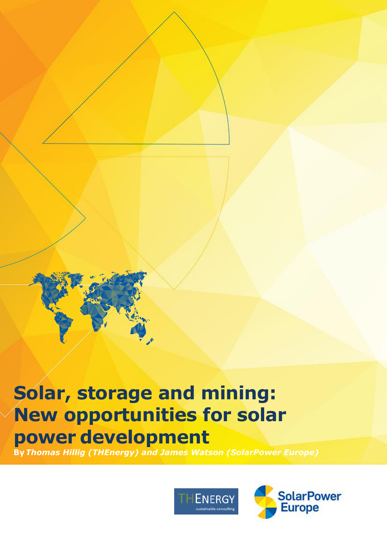# **Solar, storage and mining: New opportunities for solar power development**

**By***Thomas Hillig (THEnergy) and James Watson (SolarPower Europe)*



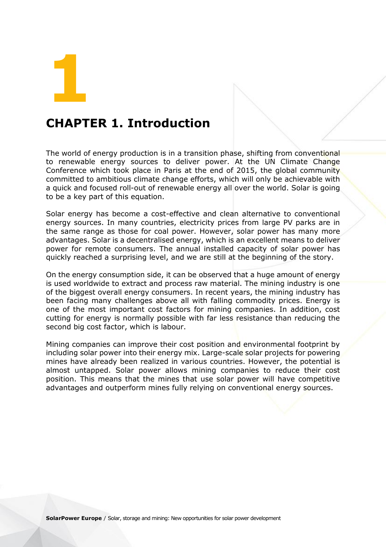**1**

### **CHAPTER 1. Introduction**

The world of energy production is in a transition phase, shifting from conventional to renewable energy sources to deliver power. At the UN Climate Change Conference which took place in Paris at the end of 2015, the global community committed to ambitious climate change efforts, which will only be achievable with a quick and focused roll-out of renewable energy all over the world. Solar is going to be a key part of this equation.

Solar energy has become a cost-effective and clean alternative to conventional energy sources. In many countries, electricity prices from large PV parks are in the same range as those for coal power. However, solar power has many more advantages. Solar is a decentralised energy, which is an excellent means to deliver power for remote consumers. The annual installed capacity of solar power has quickly reached a surprising level, and we are still at the beginning of the story.

On the energy consumption side, it can be observed that a huge amount of energy is used worldwide to extract and process raw material. The mining industry is one of the biggest overall energy consumers. In recent years, the mining industry has been facing many challenges above all with falling commodity prices. Energy is one of the most important cost factors for mining companies. In addition, cost cutting for energy is normally possible with far less resistance than reducing the second big cost factor, which is labour.

Mining companies can improve their cost position and environmental footprint by including solar power into their energy mix. Large-scale solar projects for powering mines have already been realized in various countries. However, the potential is almost untapped. Solar power allows mining companies to reduce their cost position. This means that the mines that use solar power will have competitive advantages and outperform mines fully relying on conventional energy sources.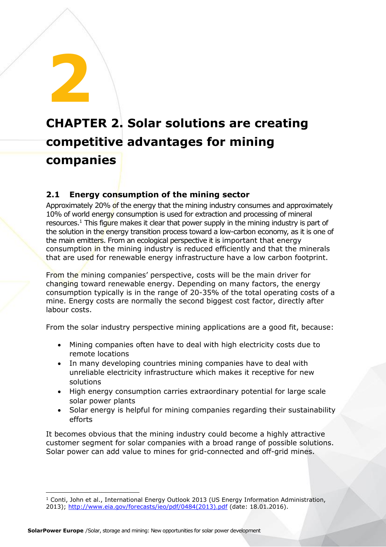## **CHAPTER 2. Solar solutions are creating competitive advantages for mining companies**

#### **2.1 Energy consumption of the mining sector**

**2**

Approximately 20% of the energy that the mining industry consumes and approximately 10% of world energy consumption is used for extraction and processing of mineral resources.<sup>1</sup> This figure makes it clear that power supply in the mining industry is part of the solution in the energy transition process toward a low-carbon economy, as it is one of the main emitters. From an ecological perspective it is important that energy consumption in the mining industry is reduced efficiently and that the minerals that are used for renewable energy infrastructure have a low carbon footprint.

From the mining companies' perspective, costs will be the main driver for changing toward renewable energy. Depending on many factors, the energy consumption typically is in the range of 20-35% of the total operating costs of a mine. Energy costs are normally the second biggest cost factor, directly after labour costs.

From the solar industry perspective mining applications are a good fit, because:

- Mining companies often have to deal with high electricity costs due to remote locations
- In many developing countries mining companies have to deal with unreliable electricity infrastructure which makes it receptive for new solutions
- High energy consumption carries extraordinary potential for large scale solar power plants
- Solar energy is helpful for mining companies regarding their sustainability efforts

It becomes obvious that the mining industry could become a highly attractive customer segment for solar companies with a broad range of possible solutions. Solar power can add value to mines for grid-connected and off-grid mines.

 $\overline{\phantom{a}}$  $1$  Conti, John et al., International Energy Outlook 2013 (US Energy Information Administration, 2013); [http://www.eia.gov/forecasts/ieo/pdf/0484\(2013\).pdf](http://www.eia.gov/forecasts/ieo/pdf/0484(2013).pdf) (date: 18.01.2016).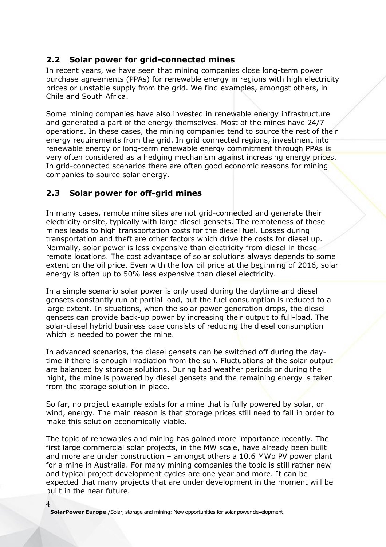#### **2.2 Solar power for grid-connected mines**

In recent years, we have seen that mining companies close long-term power purchase agreements (PPAs) for renewable energy in regions with high electricity prices or unstable supply from the grid. We find examples, amongst others, in Chile and South Africa.

Some mining companies have also invested in renewable energy infrastructure and generated a part of the energy themselves. Most of the mines have 24/7 operations. In these cases, the mining companies tend to source the rest of their energy requirements from the grid. In grid connected regions, investment into renewable energy or long-term renewable energy commitment through PPAs is very often considered as a hedging mechanism against increasing energy prices. In grid-connected scenarios there are often good economic reasons for mining companies to source solar energy.

#### **2.3 Solar power for off-grid mines**

In many cases, remote mine sites are not grid-connected and generate their electricity onsite, typically with large diesel gensets. The remoteness of these mines leads to high transportation costs for the diesel fuel. Losses during transportation and theft are other factors which drive the costs for diesel up. Normally, solar power is less expensive than electricity from diesel in these remote locations. The cost advantage of solar solutions always depends to some extent on the oil price. Even with the low oil price at the beginning of 2016, solar energy is often up to 50% less expensive than diesel electricity.

In a simple scenario solar power is only used during the daytime and diesel gensets constantly run at partial load, but the fuel consumption is reduced to a large extent. In situations, when the solar power generation drops, the diesel gensets can provide back-up power by increasing their output to full-load. The solar-diesel hybrid business case consists of reducing the diesel consumption which is needed to power the mine.

In advanced scenarios, the diesel gensets can be switched off during the daytime if there is enough irradiation from the sun. Fluctuations of the solar output are balanced by storage solutions. During bad weather periods or during the night, the mine is powered by diesel gensets and the remaining energy is taken from the storage solution in place.

So far, no project example exists for a mine that is fully powered by solar, or wind, energy. The main reason is that storage prices still need to fall in order to make this solution economically viable.

The topic of renewables and mining has gained more importance recently. The first large commercial solar projects, in the MW scale, have already been built and more are under construction – amongst others a 10.6 MWp PV power plant for a mine in Australia. For many mining companies the topic is still rather new and typical project development cycles are one year and more. It can be expected that many projects that are under development in the moment will be built in the near future.

**SolarPower Europe** /Solar, storage and mining: New opportunities for solar power development

 $\Delta$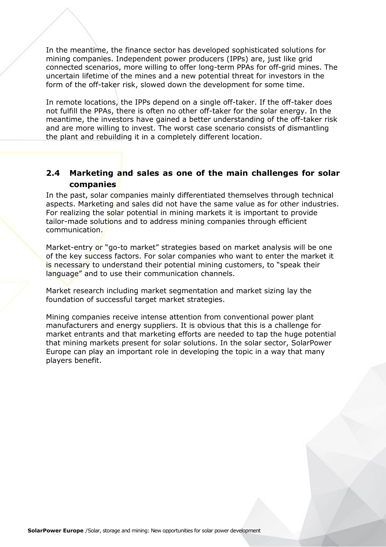In the meantime, the finance sector has developed sophisticated solutions for mining companies. Independent power producers (IPPs) are, just like grid connected scenarios, more willing to offer long-term PPAs for off-grid mines. The uncertain lifetime of the mines and a new potential threat for investors in the form of the off-taker risk, slowed down the development for some time.

In remote locations, the IPPs depend on a single off-taker. If the off-taker does not fulfill the PPAs, there is often no other off-taker for the solar energy. In the meantime, the investors have gained a better understanding of the off-taker risk and are more willing to invest. The worst case scenario consists of dismantling the plant and rebuilding it in a completely different location.

#### **2.4 Marketing and sales as one of the main challenges for solar companies**

In the past, solar companies mainly differentiated themselves through technical aspects. Marketing and sales did not have the same value as for other industries. For realizing the solar potential in mining markets it is important to provide tailor-made solutions and to address mining companies through efficient communication.

Market-entry or "go-to market" strategies based on market analysis will be one of the key success factors. For solar companies who want to enter the market it is necessary to understand their potential mining customers, to "speak their language" and to use their communication channels.

Market research including market segmentation and market sizing lay the foundation of successful target market strategies.

Mining companies receive intense attention from conventional power plant manufacturers and energy suppliers. It is obvious that this is a challenge for market entrants and that marketing efforts are needed to tap the huge potential that mining markets present for solar solutions. In the solar sector, SolarPower Europe can play an important role in developing the topic in a way that many players benefit.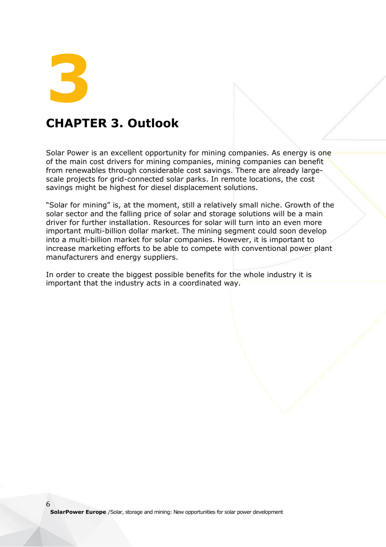**3**

6

## **CHAPTER 3. Outlook**

Solar Power is an excellent opportunity for mining companies. As energy is one of the main cost drivers for mining companies, mining companies can benefit from renewables through considerable cost savings. There are already largescale projects for grid-connected solar parks. In remote locations, the cost savings might be highest for diesel displacement solutions.

"Solar for mining" is, at the moment, still a relatively small niche. Growth of the solar sector and the falling price of solar and storage solutions will be a main driver for further installation. Resources for solar will turn into an even more important multi-billion dollar market. The mining segment could soon develop into a multi-billion market for solar companies. However, it is important to increase marketing efforts to be able to compete with conventional power plant manufacturers and energy suppliers.

In order to create the biggest possible benefits for the whole industry it is important that the industry acts in a coordinated way.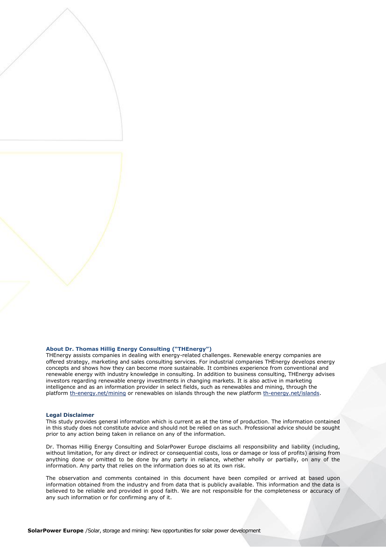#### **About Dr. Thomas Hillig Energy Consulting ("THEnergy")**

THEnergy assists companies in dealing with energy-related challenges. Renewable energy companies are offered strategy, marketing and sales consulting services. For industrial companies THEnergy develops energy concepts and shows how they can become more sustainable. It combines experience from conventional and renewable energy with industry knowledge in consulting. In addition to business consulting, THEnergy advises investors regarding renewable energy investments in changing markets. It is also active in marketing intelligence and as an information provider in select fields, such as renewables and mining, through the platfor[m th-energy.net/mining](http://www.th-energy.net/mining) or renewables on islands through the new platform [th-energy.net/islands.](http://www.th-energy.net/islands)

#### **Legal Disclaimer**

This study provides general information which is current as at the time of production. The information contained in this study does not constitute advice and should not be relied on as such. Professional advice should be sought prior to any action being taken in reliance on any of the information.

Dr. Thomas Hillig Energy Consulting and SolarPower Europe disclaims all responsibility and liability (including, without limitation, for any direct or indirect or consequential costs, loss or damage or loss of profits) arising from anything done or omitted to be done by any party in reliance, whether wholly or partially, on any of the information. Any party that relies on the information does so at its own risk.

The observation and comments contained in this document have been compiled or arrived at based upon information obtained from the industry and from data that is publicly available. This information and the data is believed to be reliable and provided in good faith. We are not responsible for the completeness or accuracy of any such information or for confirming any of it.